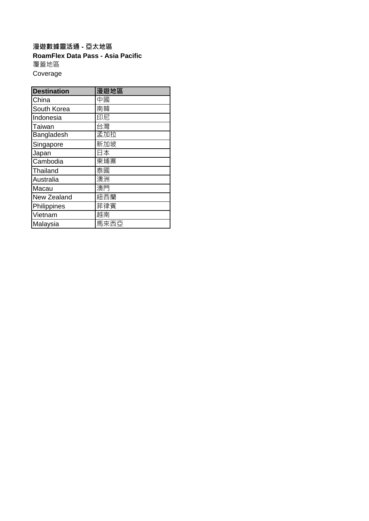**RoamFlex Data Pass - Asia Pacific** 覆蓋地區 Coverage **漫遊數據靈活通 - 亞太地區**

| <b>Destination</b> | 漫遊地區 |
|--------------------|------|
| China              | 中國   |
| South Korea        | 南韓   |
| Indonesia          | 印尼   |
| Taiwan             | 台灣   |
| Bangladesh         | 孟加拉  |
| Singapore          | 新加坡  |
| Japan              | 日本   |
| Cambodia           | 柬埔寨  |
| Thailand           | 泰國   |
| Australia          | 澳洲   |
| Macau              | 澳門   |
| New Zealand        | 紐西蘭  |
| Philippines        | 菲律賓  |
| Vietnam            | 越南   |
| Malaysia           | 馬來西亞 |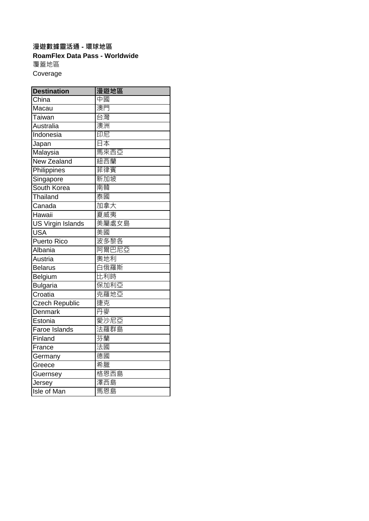## **漫遊數據靈活通 - 環球地區 RoamFlex Data Pass - Worldwide** 覆蓋地區 Coverage

| <b>Destination</b>       | 漫遊地區  |
|--------------------------|-------|
| China                    | 中國    |
| Macau                    | 澳門    |
| Taiwan                   | 台灣    |
| Australia                | 澳洲    |
| Indonesia                | 印尼    |
| Japan                    | 日本    |
| Malaysia                 | 馬來西亞  |
| New Zealand              | 紐西蘭   |
| Philippines              | 菲律賓   |
| Singapore                | 新加坡   |
| South Korea              | 南韓    |
| Thailand                 | 泰國    |
| Canada                   | 加拿大   |
| Hawaii                   | 夏威夷   |
| <b>US Virgin Islands</b> | 美屬處女島 |
| <b>USA</b>               | 美國    |
| Puerto Rico              | 波多黎各  |
| Albania                  | 阿爾巴尼亞 |
| Austria                  | 奧地利   |
| <b>Belarus</b>           | 白俄羅斯  |
| Belgium                  | 比利時   |
| Bulgaria                 | 保加利亞  |
| Croatia                  | 克羅地亞  |
| <b>Czech Republic</b>    | 捷克    |
| Denmark                  | 丹麥    |
| Estonia                  | 愛沙尼亞  |
| Faroe Islands            | 法羅群島  |
| Finland                  | 芬蘭    |
| France                   | 法國    |
| Germany                  | 德國    |
| Greece                   | 希臘    |
| Guernsey                 | 格恩西島  |
| Jersey                   | 澤西島   |
| Isle of Man              | 馬恩島   |